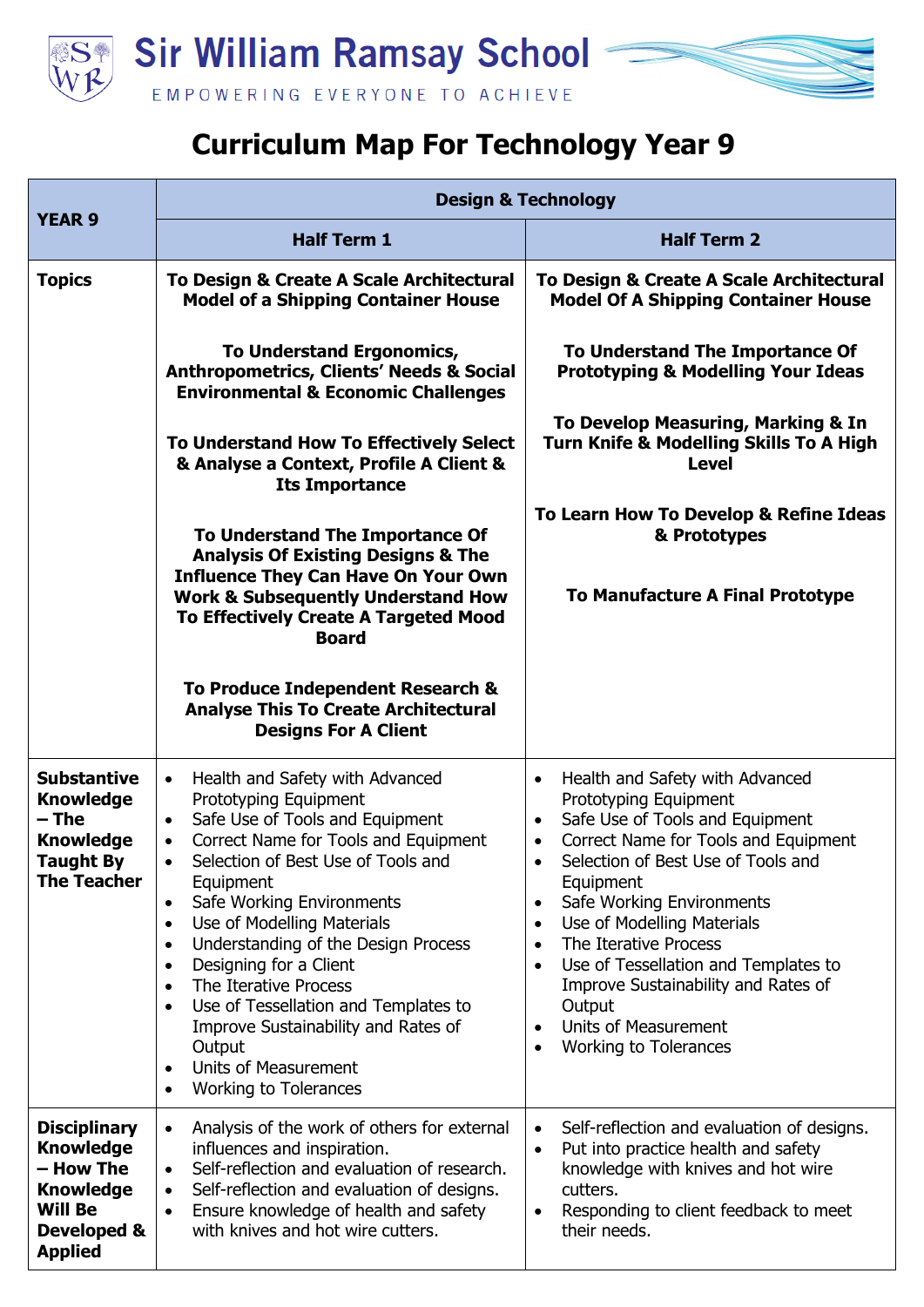

## **Curriculum Map For Technology Year 9**

|                                                                                                                             | <b>Design &amp; Technology</b>                                                                                                                                                                                                                                                                                                                                                                                                                                                                                                                                                                                                                     |                                                                                                                                                                                                                                                                                                                                                                                                                                                                                                                                                                      |
|-----------------------------------------------------------------------------------------------------------------------------|----------------------------------------------------------------------------------------------------------------------------------------------------------------------------------------------------------------------------------------------------------------------------------------------------------------------------------------------------------------------------------------------------------------------------------------------------------------------------------------------------------------------------------------------------------------------------------------------------------------------------------------------------|----------------------------------------------------------------------------------------------------------------------------------------------------------------------------------------------------------------------------------------------------------------------------------------------------------------------------------------------------------------------------------------------------------------------------------------------------------------------------------------------------------------------------------------------------------------------|
| <b>YEAR 9</b>                                                                                                               | <b>Half Term 1</b>                                                                                                                                                                                                                                                                                                                                                                                                                                                                                                                                                                                                                                 | <b>Half Term 2</b>                                                                                                                                                                                                                                                                                                                                                                                                                                                                                                                                                   |
| <b>Topics</b>                                                                                                               | To Design & Create A Scale Architectural<br><b>Model of a Shipping Container House</b>                                                                                                                                                                                                                                                                                                                                                                                                                                                                                                                                                             | To Design & Create A Scale Architectural<br><b>Model Of A Shipping Container House</b>                                                                                                                                                                                                                                                                                                                                                                                                                                                                               |
|                                                                                                                             | <b>To Understand Ergonomics,</b><br><b>Anthropometrics, Clients' Needs &amp; Social</b><br><b>Environmental &amp; Economic Challenges</b>                                                                                                                                                                                                                                                                                                                                                                                                                                                                                                          | To Understand The Importance Of<br><b>Prototyping &amp; Modelling Your Ideas</b>                                                                                                                                                                                                                                                                                                                                                                                                                                                                                     |
|                                                                                                                             | To Understand How To Effectively Select<br>& Analyse a Context, Profile A Client &<br><b>Its Importance</b>                                                                                                                                                                                                                                                                                                                                                                                                                                                                                                                                        | To Develop Measuring, Marking & In<br><b>Turn Knife &amp; Modelling Skills To A High</b><br><b>Level</b>                                                                                                                                                                                                                                                                                                                                                                                                                                                             |
|                                                                                                                             | To Understand The Importance Of<br><b>Analysis Of Existing Designs &amp; The</b><br><b>Influence They Can Have On Your Own</b><br><b>Work &amp; Subsequently Understand How</b><br>To Effectively Create A Targeted Mood<br><b>Board</b>                                                                                                                                                                                                                                                                                                                                                                                                           | To Learn How To Develop & Refine Ideas<br>& Prototypes<br><b>To Manufacture A Final Prototype</b>                                                                                                                                                                                                                                                                                                                                                                                                                                                                    |
|                                                                                                                             | To Produce Independent Research &<br><b>Analyse This To Create Architectural</b><br><b>Designs For A Client</b>                                                                                                                                                                                                                                                                                                                                                                                                                                                                                                                                    |                                                                                                                                                                                                                                                                                                                                                                                                                                                                                                                                                                      |
| <b>Substantive</b><br><b>Knowledge</b><br>$-$ The<br><b>Knowledge</b><br><b>Taught By</b><br>The Teacher                    | Health and Safety with Advanced<br>$\bullet$<br>Prototyping Equipment<br>Safe Use of Tools and Equipment<br>$\bullet$<br>Correct Name for Tools and Equipment<br>$\bullet$<br>Selection of Best Use of Tools and<br>$\bullet$<br>Equipment<br>Safe Working Environments<br>Use of Modelling Materials<br>$\bullet$<br>Understanding of the Design Process<br>$\bullet$<br>Designing for a Client<br>$\bullet$<br>The Iterative Process<br>$\bullet$<br>Use of Tessellation and Templates to<br>$\bullet$<br>Improve Sustainability and Rates of<br>Output<br><b>Units of Measurement</b><br>$\bullet$<br><b>Working to Tolerances</b><br>$\bullet$ | Health and Safety with Advanced<br>$\bullet$<br>Prototyping Equipment<br>Safe Use of Tools and Equipment<br>$\bullet$<br>Correct Name for Tools and Equipment<br>$\bullet$<br>Selection of Best Use of Tools and<br>$\bullet$<br>Equipment<br>Safe Working Environments<br>$\bullet$<br>Use of Modelling Materials<br>$\bullet$<br>The Iterative Process<br>$\bullet$<br>Use of Tessellation and Templates to<br>$\bullet$<br>Improve Sustainability and Rates of<br>Output<br><b>Units of Measurement</b><br>$\bullet$<br><b>Working to Tolerances</b><br>$\bullet$ |
| <b>Disciplinary</b><br><b>Knowledge</b><br>- How The<br><b>Knowledge</b><br><b>Will Be</b><br>Developed &<br><b>Applied</b> | Analysis of the work of others for external<br>$\bullet$<br>influences and inspiration.<br>Self-reflection and evaluation of research.<br>$\bullet$<br>Self-reflection and evaluation of designs.<br>$\bullet$<br>Ensure knowledge of health and safety<br>$\bullet$<br>with knives and hot wire cutters.                                                                                                                                                                                                                                                                                                                                          | Self-reflection and evaluation of designs.<br>$\bullet$<br>Put into practice health and safety<br>$\bullet$<br>knowledge with knives and hot wire<br>cutters.<br>Responding to client feedback to meet<br>$\bullet$<br>their needs.                                                                                                                                                                                                                                                                                                                                  |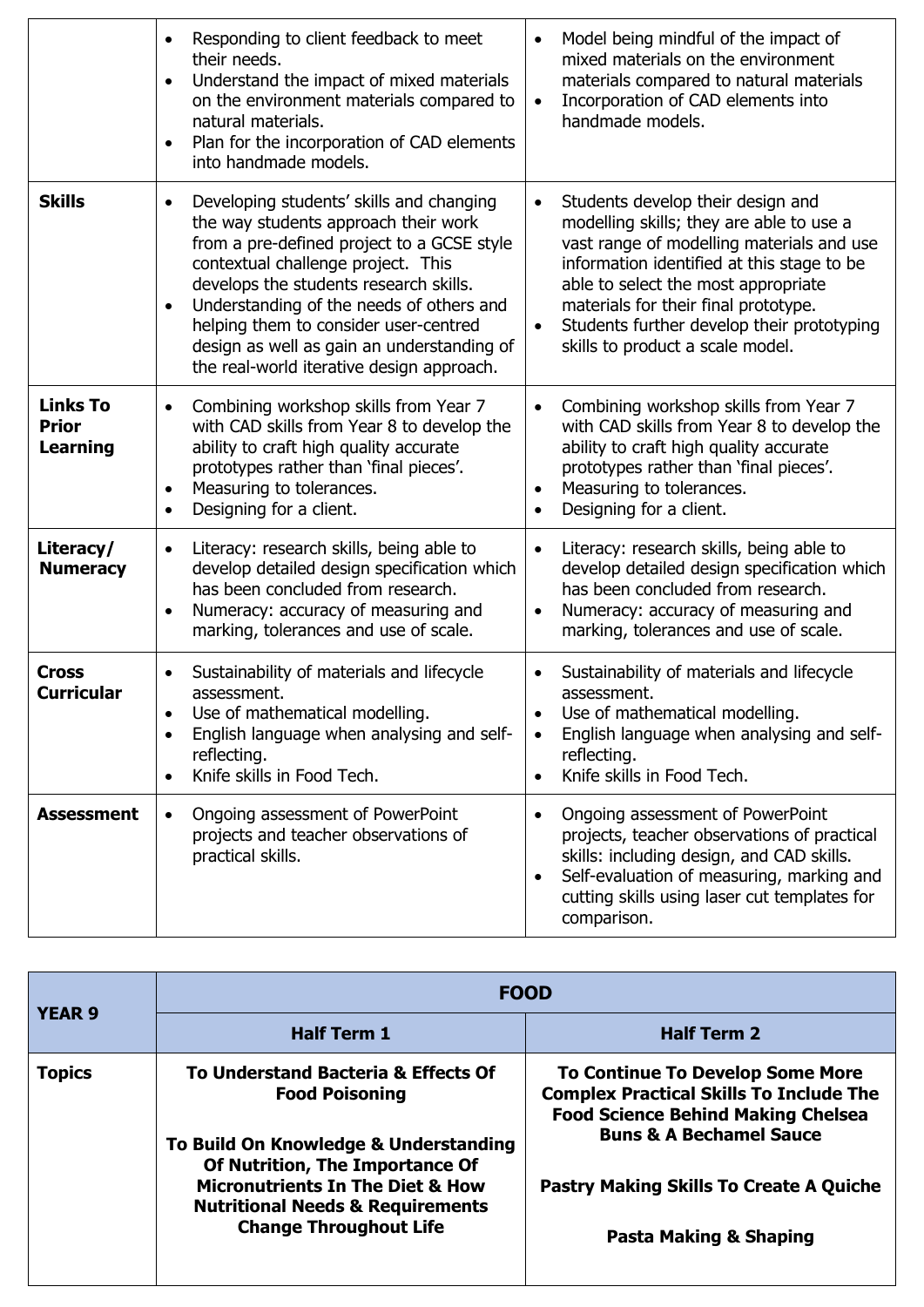|                                                    | Responding to client feedback to meet<br>$\bullet$<br>their needs.<br>Understand the impact of mixed materials<br>$\bullet$<br>on the environment materials compared to<br>natural materials.<br>Plan for the incorporation of CAD elements<br>$\bullet$<br>into handmade models.                                                                                                                                        | Model being mindful of the impact of<br>$\bullet$<br>mixed materials on the environment<br>materials compared to natural materials<br>Incorporation of CAD elements into<br>$\bullet$<br>handmade models.                                                                                                                                                           |
|----------------------------------------------------|--------------------------------------------------------------------------------------------------------------------------------------------------------------------------------------------------------------------------------------------------------------------------------------------------------------------------------------------------------------------------------------------------------------------------|---------------------------------------------------------------------------------------------------------------------------------------------------------------------------------------------------------------------------------------------------------------------------------------------------------------------------------------------------------------------|
| <b>Skills</b>                                      | Developing students' skills and changing<br>$\bullet$<br>the way students approach their work<br>from a pre-defined project to a GCSE style<br>contextual challenge project. This<br>develops the students research skills.<br>Understanding of the needs of others and<br>$\bullet$<br>helping them to consider user-centred<br>design as well as gain an understanding of<br>the real-world iterative design approach. | Students develop their design and<br>$\bullet$<br>modelling skills; they are able to use a<br>vast range of modelling materials and use<br>information identified at this stage to be<br>able to select the most appropriate<br>materials for their final prototype.<br>Students further develop their prototyping<br>$\bullet$<br>skills to product a scale model. |
| <b>Links To</b><br><b>Prior</b><br><b>Learning</b> | Combining workshop skills from Year 7<br>$\bullet$<br>with CAD skills from Year 8 to develop the<br>ability to craft high quality accurate<br>prototypes rather than 'final pieces'.<br>Measuring to tolerances.<br>$\bullet$<br>Designing for a client.<br>$\bullet$                                                                                                                                                    | Combining workshop skills from Year 7<br>$\bullet$<br>with CAD skills from Year 8 to develop the<br>ability to craft high quality accurate<br>prototypes rather than 'final pieces'.<br>Measuring to tolerances.<br>$\bullet$<br>Designing for a client.                                                                                                            |
| Literacy/<br><b>Numeracy</b>                       | Literacy: research skills, being able to<br>$\bullet$<br>develop detailed design specification which<br>has been concluded from research.<br>Numeracy: accuracy of measuring and<br>$\bullet$<br>marking, tolerances and use of scale.                                                                                                                                                                                   | Literacy: research skills, being able to<br>$\bullet$<br>develop detailed design specification which<br>has been concluded from research.<br>Numeracy: accuracy of measuring and<br>$\bullet$<br>marking, tolerances and use of scale.                                                                                                                              |
| <b>Cross</b><br><b>Curricular</b>                  | Sustainability of materials and lifecycle<br>assessment.<br>Use of mathematical modelling.<br>English language when analysing and self-<br>reflecting.<br>Knife skills in Food Tech.                                                                                                                                                                                                                                     | Sustainability of materials and lifecycle<br>$\bullet$<br>assessment.<br>Use of mathematical modelling.<br>English language when analysing and self-<br>reflecting.<br>Knife skills in Food Tech.<br>$\bullet$                                                                                                                                                      |
| <b>Assessment</b>                                  | Ongoing assessment of PowerPoint<br>$\bullet$<br>projects and teacher observations of<br>practical skills.                                                                                                                                                                                                                                                                                                               | Ongoing assessment of PowerPoint<br>$\bullet$<br>projects, teacher observations of practical<br>skills: including design, and CAD skills.<br>Self-evaluation of measuring, marking and<br>$\bullet$<br>cutting skills using laser cut templates for<br>comparison.                                                                                                  |

| <b>YEAR 9</b> | <b>FOOD</b>                                                                                                                                                                                                                                                             |                                                                                                                                                                              |
|---------------|-------------------------------------------------------------------------------------------------------------------------------------------------------------------------------------------------------------------------------------------------------------------------|------------------------------------------------------------------------------------------------------------------------------------------------------------------------------|
|               | <b>Half Term 1</b>                                                                                                                                                                                                                                                      | <b>Half Term 2</b>                                                                                                                                                           |
| <b>Topics</b> | To Understand Bacteria & Effects Of<br><b>Food Poisoning</b><br>To Build On Knowledge & Understanding<br>Of Nutrition, The Importance Of<br><b>Micronutrients In The Diet &amp; How</b><br><b>Nutritional Needs &amp; Requirements</b><br><b>Change Throughout Life</b> | <b>To Continue To Develop Some More</b><br><b>Complex Practical Skills To Include The</b><br><b>Food Science Behind Making Chelsea</b><br><b>Buns &amp; A Bechamel Sauce</b> |
|               |                                                                                                                                                                                                                                                                         | <b>Pastry Making Skills To Create A Quiche</b><br><b>Pasta Making &amp; Shaping</b>                                                                                          |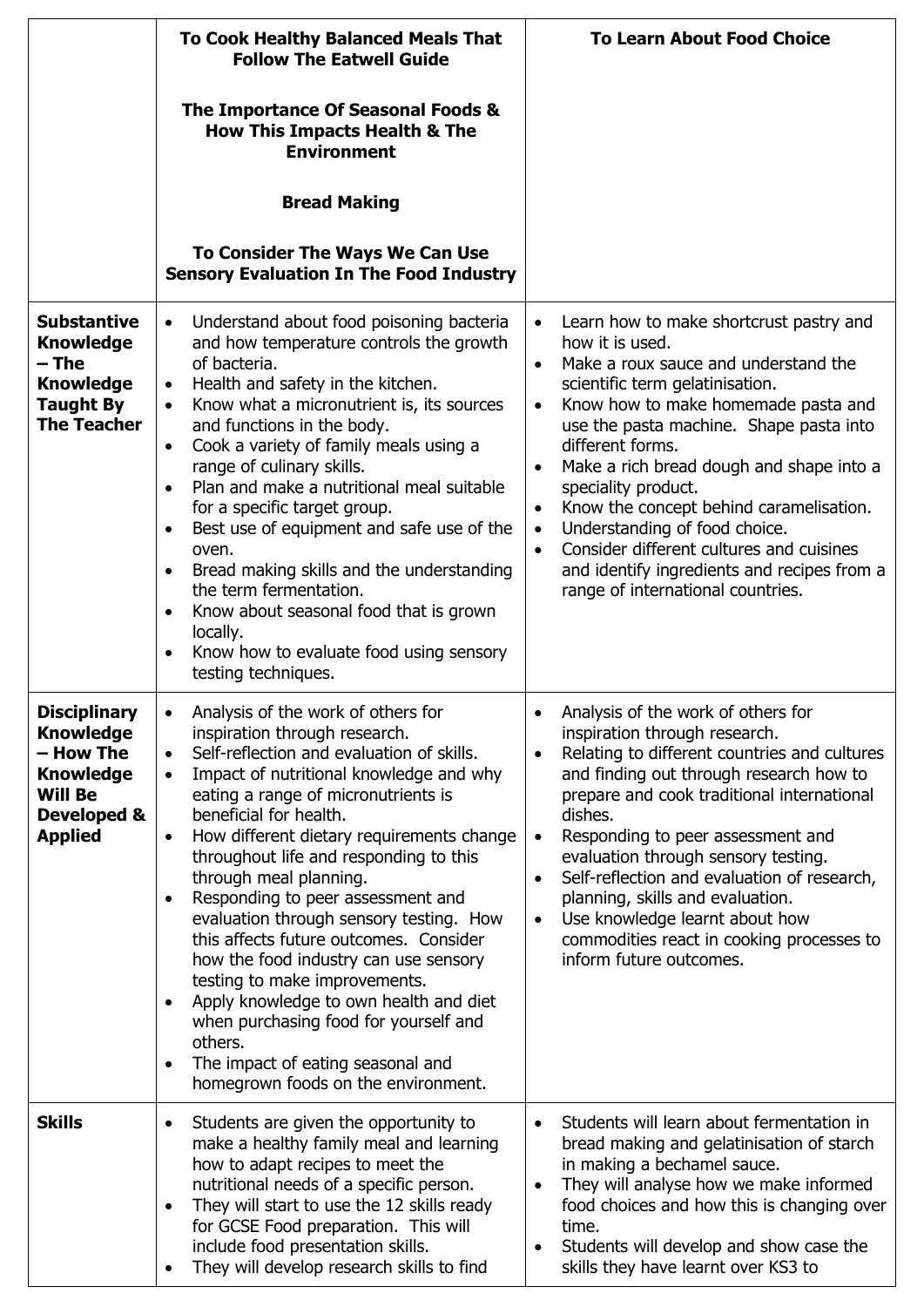|                                                                                                                             | <b>To Cook Healthy Balanced Meals That</b><br><b>Follow The Eatwell Guide</b>                                                                                                                                                                                                                                                                                                                                                                                                                                                                                                                                                                                                                                                                                                   | <b>To Learn About Food Choice</b>                                                                                                                                                                                                                                                                                                                                                                                                                                                                                                                    |
|-----------------------------------------------------------------------------------------------------------------------------|---------------------------------------------------------------------------------------------------------------------------------------------------------------------------------------------------------------------------------------------------------------------------------------------------------------------------------------------------------------------------------------------------------------------------------------------------------------------------------------------------------------------------------------------------------------------------------------------------------------------------------------------------------------------------------------------------------------------------------------------------------------------------------|------------------------------------------------------------------------------------------------------------------------------------------------------------------------------------------------------------------------------------------------------------------------------------------------------------------------------------------------------------------------------------------------------------------------------------------------------------------------------------------------------------------------------------------------------|
|                                                                                                                             | The Importance Of Seasonal Foods &<br><b>How This Impacts Health &amp; The</b><br><b>Environment</b>                                                                                                                                                                                                                                                                                                                                                                                                                                                                                                                                                                                                                                                                            |                                                                                                                                                                                                                                                                                                                                                                                                                                                                                                                                                      |
|                                                                                                                             | <b>Bread Making</b>                                                                                                                                                                                                                                                                                                                                                                                                                                                                                                                                                                                                                                                                                                                                                             |                                                                                                                                                                                                                                                                                                                                                                                                                                                                                                                                                      |
|                                                                                                                             | To Consider The Ways We Can Use<br><b>Sensory Evaluation In The Food Industry</b>                                                                                                                                                                                                                                                                                                                                                                                                                                                                                                                                                                                                                                                                                               |                                                                                                                                                                                                                                                                                                                                                                                                                                                                                                                                                      |
| <b>Substantive</b><br><b>Knowledge</b><br>– The<br><b>Knowledge</b><br><b>Taught By</b><br><b>The Teacher</b>               | Understand about food poisoning bacteria<br>$\bullet$<br>and how temperature controls the growth<br>of bacteria.<br>Health and safety in the kitchen.<br>$\bullet$<br>Know what a micronutrient is, its sources<br>$\bullet$<br>and functions in the body.<br>Cook a variety of family meals using a<br>$\bullet$<br>range of culinary skills.<br>Plan and make a nutritional meal suitable<br>for a specific target group.<br>Best use of equipment and safe use of the<br>$\bullet$<br>oven.<br>Bread making skills and the understanding<br>$\bullet$<br>the term fermentation.<br>Know about seasonal food that is grown<br>locally.<br>Know how to evaluate food using sensory<br>٠<br>testing techniques.                                                                 | Learn how to make shortcrust pastry and<br>how it is used.<br>Make a roux sauce and understand the<br>scientific term gelatinisation.<br>Know how to make homemade pasta and<br>$\bullet$<br>use the pasta machine. Shape pasta into<br>different forms.<br>Make a rich bread dough and shape into a<br>speciality product.<br>Know the concept behind caramelisation.<br>Understanding of food choice.<br>$\bullet$<br>Consider different cultures and cuisines<br>and identify ingredients and recipes from a<br>range of international countries. |
| <b>Disciplinary</b><br><b>Knowledge</b><br>– How The<br><b>Knowledge</b><br><b>Will Be</b><br>Developed &<br><b>Applied</b> | Analysis of the work of others for<br>inspiration through research.<br>Self-reflection and evaluation of skills.<br>Impact of nutritional knowledge and why<br>$\bullet$<br>eating a range of micronutrients is<br>beneficial for health.<br>How different dietary requirements change<br>$\bullet$<br>throughout life and responding to this<br>through meal planning.<br>Responding to peer assessment and<br>evaluation through sensory testing. How<br>this affects future outcomes. Consider<br>how the food industry can use sensory<br>testing to make improvements.<br>Apply knowledge to own health and diet<br>$\bullet$<br>when purchasing food for yourself and<br>others.<br>The impact of eating seasonal and<br>$\bullet$<br>homegrown foods on the environment. | Analysis of the work of others for<br>inspiration through research.<br>Relating to different countries and cultures<br>and finding out through research how to<br>prepare and cook traditional international<br>dishes.<br>Responding to peer assessment and<br>$\bullet$<br>evaluation through sensory testing.<br>Self-reflection and evaluation of research,<br>$\bullet$<br>planning, skills and evaluation.<br>Use knowledge learnt about how<br>$\bullet$<br>commodities react in cooking processes to<br>inform future outcomes.              |
| <b>Skills</b>                                                                                                               | Students are given the opportunity to<br>make a healthy family meal and learning<br>how to adapt recipes to meet the<br>nutritional needs of a specific person.<br>They will start to use the 12 skills ready<br>$\bullet$<br>for GCSE Food preparation. This will<br>include food presentation skills.<br>They will develop research skills to find                                                                                                                                                                                                                                                                                                                                                                                                                            | Students will learn about fermentation in<br>bread making and gelatinisation of starch<br>in making a bechamel sauce.<br>They will analyse how we make informed<br>$\bullet$<br>food choices and how this is changing over<br>time.<br>Students will develop and show case the<br>skills they have learnt over KS3 to                                                                                                                                                                                                                                |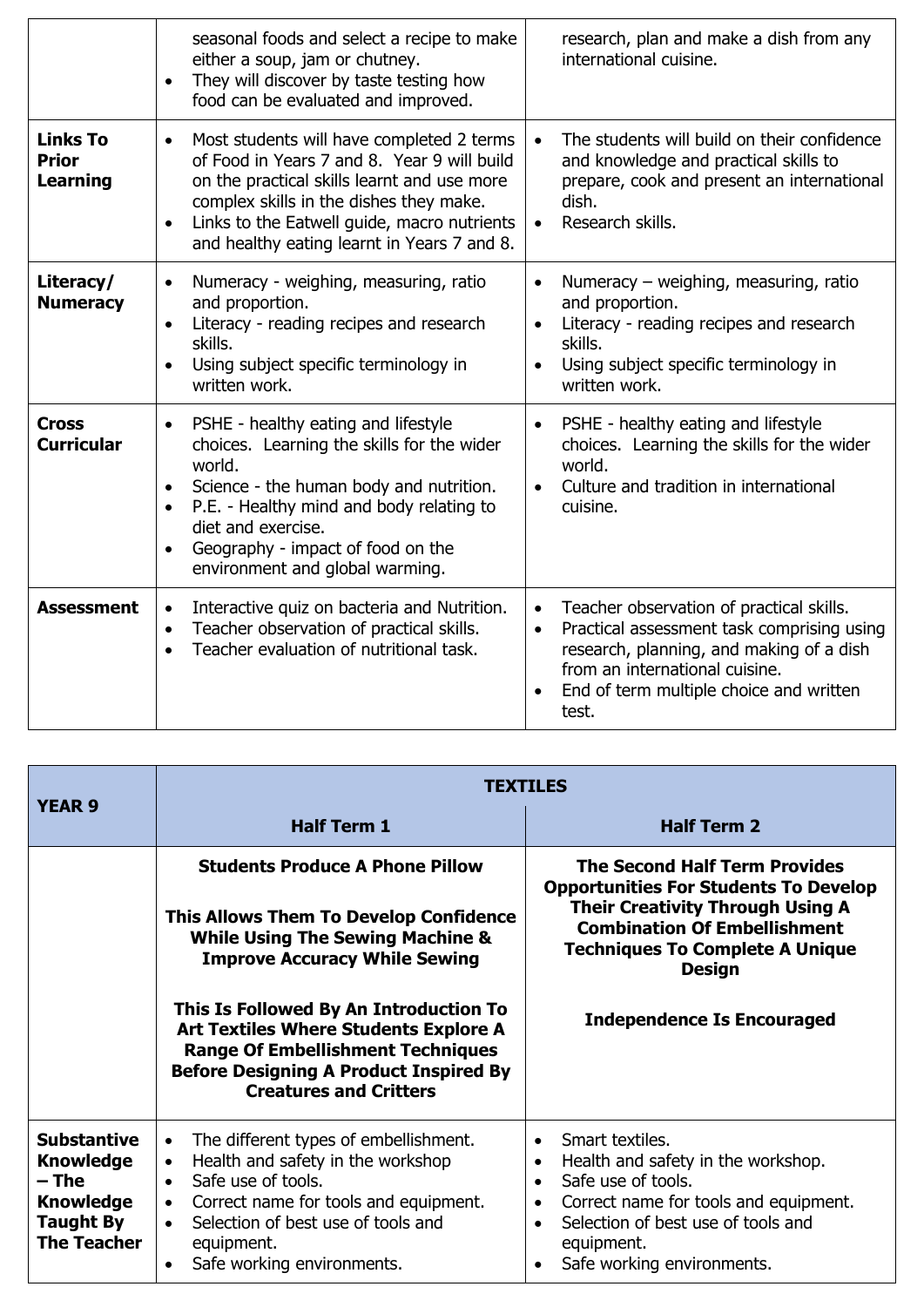|                                             | seasonal foods and select a recipe to make<br>either a soup, jam or chutney.<br>They will discover by taste testing how<br>$\bullet$<br>food can be evaluated and improved.                                                                                                                                             | research, plan and make a dish from any<br>international cuisine.                                                                                                                                                                                  |
|---------------------------------------------|-------------------------------------------------------------------------------------------------------------------------------------------------------------------------------------------------------------------------------------------------------------------------------------------------------------------------|----------------------------------------------------------------------------------------------------------------------------------------------------------------------------------------------------------------------------------------------------|
| <b>Links To</b><br><b>Prior</b><br>Learning | Most students will have completed 2 terms<br>$\bullet$<br>of Food in Years 7 and 8. Year 9 will build<br>on the practical skills learnt and use more<br>complex skills in the dishes they make.<br>Links to the Eatwell guide, macro nutrients<br>$\bullet$<br>and healthy eating learnt in Years 7 and 8.              | The students will build on their confidence<br>and knowledge and practical skills to<br>prepare, cook and present an international<br>dish.<br>Research skills.<br>$\bullet$                                                                       |
| Literacy/<br><b>Numeracy</b>                | Numeracy - weighing, measuring, ratio<br>and proportion.<br>Literacy - reading recipes and research<br>skills.<br>Using subject specific terminology in<br>written work.                                                                                                                                                | Numeracy – weighing, measuring, ratio<br>and proportion.<br>Literacy - reading recipes and research<br>skills.<br>Using subject specific terminology in<br>written work.                                                                           |
| <b>Cross</b><br><b>Curricular</b>           | PSHE - healthy eating and lifestyle<br>$\bullet$<br>choices. Learning the skills for the wider<br>world.<br>Science - the human body and nutrition.<br>$\bullet$<br>P.E. - Healthy mind and body relating to<br>$\bullet$<br>diet and exercise.<br>Geography - impact of food on the<br>environment and global warming. | PSHE - healthy eating and lifestyle<br>$\bullet$<br>choices. Learning the skills for the wider<br>world.<br>Culture and tradition in international<br>$\bullet$<br>cuisine.                                                                        |
| <b>Assessment</b>                           | Interactive quiz on bacteria and Nutrition.<br>$\bullet$<br>Teacher observation of practical skills.<br>$\bullet$<br>Teacher evaluation of nutritional task.                                                                                                                                                            | Teacher observation of practical skills.<br>$\bullet$<br>Practical assessment task comprising using<br>$\bullet$<br>research, planning, and making of a dish<br>from an international cuisine.<br>End of term multiple choice and written<br>test. |

| <b>YEAR 9</b>                                                                                          | <b>TEXTILES</b>                                                                                                                                                                                                                                                                                                                                                                          |                                                                                                                                                                                                                                                                        |
|--------------------------------------------------------------------------------------------------------|------------------------------------------------------------------------------------------------------------------------------------------------------------------------------------------------------------------------------------------------------------------------------------------------------------------------------------------------------------------------------------------|------------------------------------------------------------------------------------------------------------------------------------------------------------------------------------------------------------------------------------------------------------------------|
|                                                                                                        | <b>Half Term 1</b>                                                                                                                                                                                                                                                                                                                                                                       | <b>Half Term 2</b>                                                                                                                                                                                                                                                     |
|                                                                                                        | <b>Students Produce A Phone Pillow</b><br>This Allows Them To Develop Confidence<br><b>While Using The Sewing Machine &amp;</b><br><b>Improve Accuracy While Sewing</b><br>This Is Followed By An Introduction To<br>Art Textiles Where Students Explore A<br><b>Range Of Embellishment Techniques</b><br><b>Before Designing A Product Inspired By</b><br><b>Creatures and Critters</b> | <b>The Second Half Term Provides</b><br><b>Opportunities For Students To Develop</b><br><b>Their Creativity Through Using A</b><br><b>Combination Of Embellishment</b><br><b>Techniques To Complete A Unique</b><br><b>Design</b><br><b>Independence Is Encouraged</b> |
| <b>Substantive</b><br><b>Knowledge</b><br>– The<br><b>Knowledge</b><br>Taught By<br><b>The Teacher</b> | The different types of embellishment.<br>$\bullet$<br>Health and safety in the workshop<br>$\bullet$<br>Safe use of tools.<br>$\bullet$<br>Correct name for tools and equipment.<br>$\bullet$<br>Selection of best use of tools and<br>equipment.<br>Safe working environments.                                                                                                          | Smart textiles.<br>Health and safety in the workshop.<br>$\bullet$<br>Safe use of tools.<br>$\bullet$<br>Correct name for tools and equipment.<br>Selection of best use of tools and<br>equipment.<br>Safe working environments.                                       |